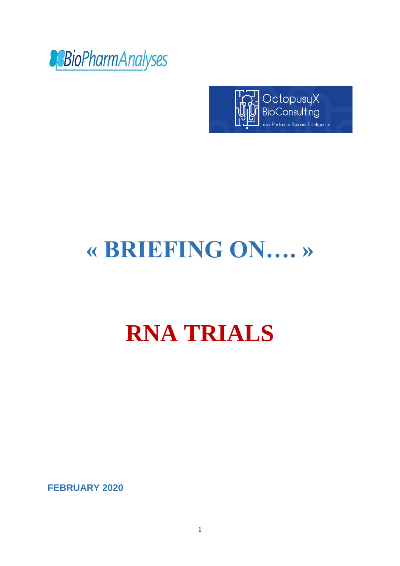



# **« BRIEFING ON…. »**

# **RNA TRIALS**

**FEBRUARY 2020**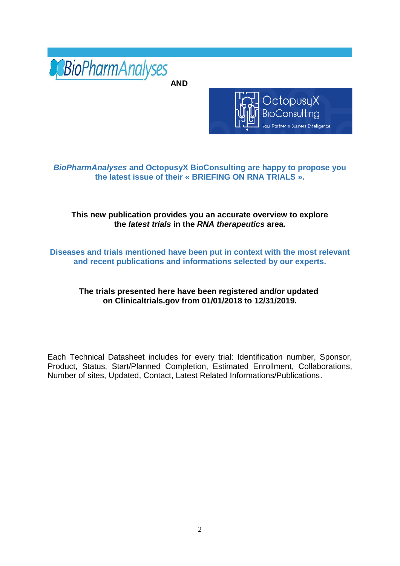

**AND**



## *BioPharmAnalyses* **and OctopusyX BioConsulting are happy to propose you the latest issue of their « BRIEFING ON RNA TRIALS ».**

## **This new publication provides you an accurate overview to explore the** *latest trials* **in the** *RNA therapeutics* **area.**

**Diseases and trials mentioned have been put in context with the most relevant and recent publications and informations selected by our experts.**

## **The trials presented here have been registered and/or updated on Clinicaltrials.gov from 01/01/2018 to 12/31/2019.**

Each Technical Datasheet includes for every trial: Identification number, Sponsor, Product, Status, Start/Planned Completion, Estimated Enrollment, Collaborations, Number of sites, Updated, Contact, Latest Related Informations/Publications.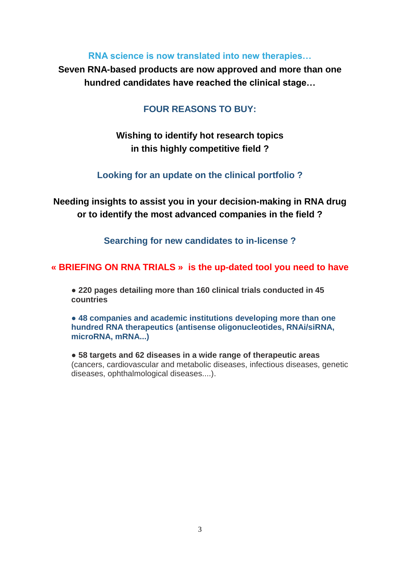## **RNA science is now translated into new therapies…**

**Seven RNA-based products are now approved and more than one hundred candidates have reached the clinical stage…**

## **FOUR REASONS TO BUY:**

# **Wishing to identify hot research topics in this highly competitive field ?**

## **Looking for an update on the clinical portfolio ?**

**Needing insights to assist you in your decision-making in RNA drug or to identify the most advanced companies in the field ?**

**Searching for new candidates to in-license ?**

## **« BRIEFING ON RNA TRIALS » is the up-dated tool you need to have**

● **220 pages detailing more than 160 clinical trials conducted in 45 countries**

**● 48 companies and academic institutions developing more than one hundred RNA therapeutics (antisense oligonucleotides, RNAi/siRNA, microRNA, mRNA...)**

● **58 targets and 62 diseases in a wide range of therapeutic areas** (cancers, cardiovascular and metabolic diseases, infectious diseases, genetic diseases, ophthalmological diseases....).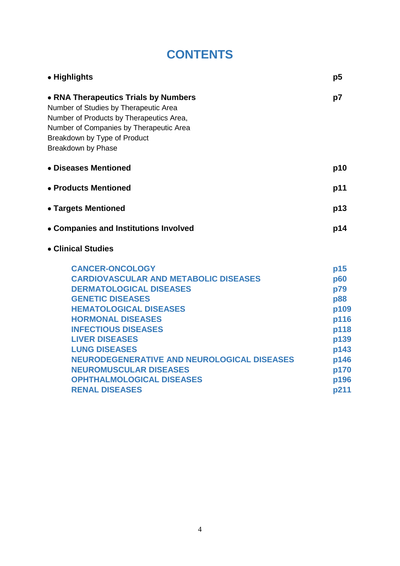# **CONTENTS**

| p5                                                                                                             |
|----------------------------------------------------------------------------------------------------------------|
| p7                                                                                                             |
| p10                                                                                                            |
| p11                                                                                                            |
| p13                                                                                                            |
| p14                                                                                                            |
|                                                                                                                |
| p15<br><b>p60</b><br>p79<br><b>p88</b><br>p109<br>p116<br>p118<br>p139<br>p143<br>p146<br>p170<br>p196<br>p211 |
|                                                                                                                |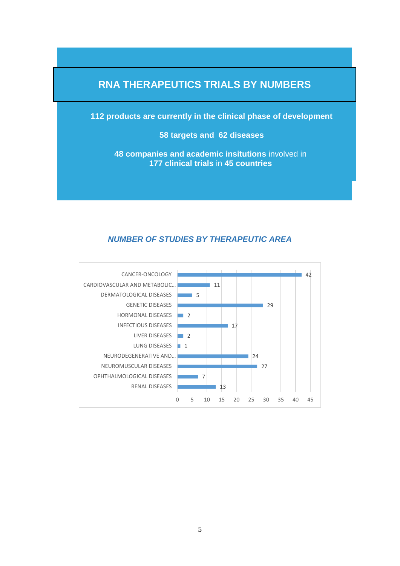# **RNA THERAPEUTICS TRIALS BY NUMBERS**

**112 products are currently in the clinical phase of development**

**58 targets and 62 diseases**

**48 companies and academic insitutions** involved in **177 clinical trials** in **45 countries**

## *NUMBER OF STUDIES BY THERAPEUTIC AREA*

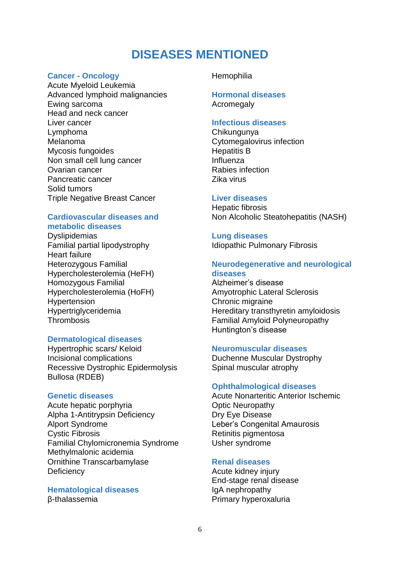# **DISEASES MENTIONED**

## **Cancer - Oncology**

Acute Myeloid Leukemia Advanced lymphoid malignancies Ewing sarcoma Head and neck cancer Liver cancer Lymphoma Melanoma Mycosis fungoides Non small cell lung cancer Ovarian cancer Pancreatic cancer Solid tumors Triple Negative Breast Cancer

## **Cardiovascular diseases and metabolic diseases**

**Dyslipidemias** Familial partial lipodystrophy Heart failure Heterozygous Familial Hypercholesterolemia (HeFH) Homozygous Familial Hypercholesterolemia (HoFH) Hypertension Hypertriglyceridemia **Thrombosis** 

## **Dermatological diseases**

Hypertrophic scars/ Keloid Incisional complications Recessive Dystrophic Epidermolysis Bullosa (RDEB)

## **Genetic diseases**

Acute hepatic porphyria Alpha 1-Antitrypsin Deficiency Alport Syndrome Cystic Fibrosis Familial Chylomicronemia Syndrome Methylmalonic acidemia Ornithine Transcarbamylase **Deficiency** 

**Hematological diseases**  β-thalassemia

## **Hemophilia**

#### **Hormonal diseases Acromegaly**

## **Infectious diseases**

Chikungunya Cytomegalovirus infection Hepatitis B Influenza Rabies infection Zika virus

## **Liver diseases**

Hepatic fibrosis Non Alcoholic Steatohepatitis (NASH)

## **Lung diseases**

Idiopathic Pulmonary Fibrosis

## **Neurodegenerative and neurological diseases**

Alzheimer's disease Amyotrophic Lateral Sclerosis Chronic migraine Hereditary transthyretin amyloidosis Familial Amyloid Polyneuropathy Huntington's disease

## **Neuromuscular diseases**

Duchenne Muscular Dystrophy Spinal muscular atrophy

## **Ophthalmological diseases**

Acute Nonarteritic Anterior Ischemic Optic Neuropathy Dry Eye Disease Leber's Congenital Amaurosis Retinitis pigmentosa Usher syndrome

## **Renal diseases**

Acute kidney injury End-stage renal disease IgA nephropathy Primary hyperoxaluria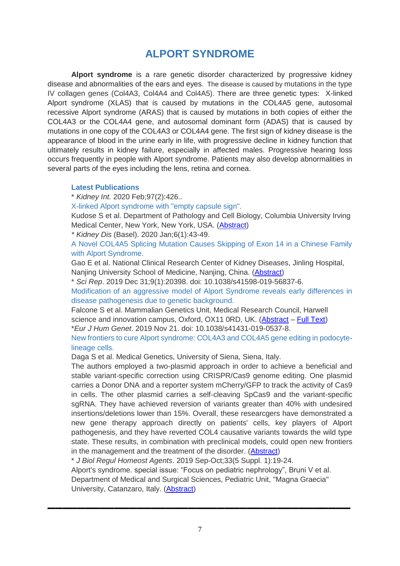# **ALPORT SYNDROME**

**Alport syndrome** is a rare genetic disorder characterized by progressive kidney disease and abnormalities of the ears and eyes. The disease is caused by mutations in the type IV collagen genes (Col4A3, Col4A4 and Col4A5). There are three genetic types: X-linked Alport syndrome (XLAS) that is caused by mutations in the COL4A5 gene, autosomal recessive Alport syndrome (ARAS) that is caused by mutations in both copies of either the COL4A3 or the COL4A4 gene, and autosomal dominant form (ADAS) that is caused by mutations in one copy of the COL4A3 or COL4A4 gene. The first sign of kidney disease is the appearance of blood in the urine early in life, with progressive decline in kidney function that ultimately results in kidney failure, especially in affected males. Progressive hearing loss occurs frequently in people with Alport syndrome. Patients may also develop abnormalities in several parts of the eyes including the lens, retina and cornea.

#### **Latest Publications**

\* *Kidney Int.* 2020 Feb;97(2):426..

X-linked Alport syndrome with "empty capsule sign".

Kudose S et al. Department of Pathology and Cell Biology, Columbia University Irving Medical Center, New York, New York, USA. [\(Abstract\)](https://www.ncbi.nlm.nih.gov/pubmed/31980082)

*\* Kidney Dis* (Basel). 2020 Jan;6(1):43-49.

A Novel COL4A5 Splicing Mutation Causes Skipping of Exon 14 in a Chinese Family with Alport Syndrome.

Gao E et al. National Clinical Research Center of Kidney Diseases, Jinling Hospital, Nanjing University School of Medicine, Nanjing, China. [\(Abstract\)](https://www.ncbi.nlm.nih.gov/pubmed/32021873)

\* *Sci Rep*. 2019 Dec 31;9(1):20398. doi: 10.1038/s41598-019-56837-6.

Modification of an aggressive model of Alport Syndrome reveals early differences in disease pathogenesis due to genetic background.

Falcone S et al. Mammalian Genetics Unit, Medical Research Council, Harwell science and innovation campus, Oxford, OX11 0RD, UK. [\(Abstract](https://www.ncbi.nlm.nih.gov/pubmed/31892712) – [Full Text\)](https://www.ncbi.nlm.nih.gov/pmc/articles/PMC6938516/)

\**Eur J Hum Genet*. 2019 Nov 21. doi: 10.1038/s41431-019-0537-8.

New frontiers to cure Alport syndrome: COL4A3 and COL4A5 gene editing in podocytelineage cells.

Daga S et al. Medical Genetics, University of Siena, Siena, Italy.

The authors employed a two-plasmid approach in order to achieve a beneficial and stable variant-specific correction using CRISPR/Cas9 genome editing. One plasmid carries a Donor DNA and a reporter system mCherry/GFP to track the activity of Cas9 in cells. The other plasmid carries a self-cleaving SpCas9 and the variant-specific sgRNA. They have achieved reversion of variants greater than 40% with undesired insertions/deletions lower than 15%. Overall, these researcgers have demonstrated a new gene therapy approach directly on patients' cells, key players of Alport pathogenesis, and they have reverted COL4 causative variants towards the wild type state. These results, in combination with preclinical models, could open new frontiers in the management and the treatment of the disorder. [\(Abstract\)](https://www.ncbi.nlm.nih.gov/pubmed/31754267)

\* *J Biol Regul Homeost Agents*. 2019 Sep-Oct;33(5 Suppl. 1):19-24.

Alport's syndrome. special issue: "Focus on pediatric nephrology", Bruni V et al.

Department of Medical and Surgical Sciences, Pediatric Unit, "Magna Graecia" University, Catanzaro, Italy. [\(Abstract\)](https://www.ncbi.nlm.nih.gov/pubmed/31630709)

▬▬▬▬▬▬▬▬▬▬▬▬▬▬▬▬▬▬▬▬▬▬▬▬▬▬▬▬▬▬▬▬▬▬▬▬▬▬▬▬▬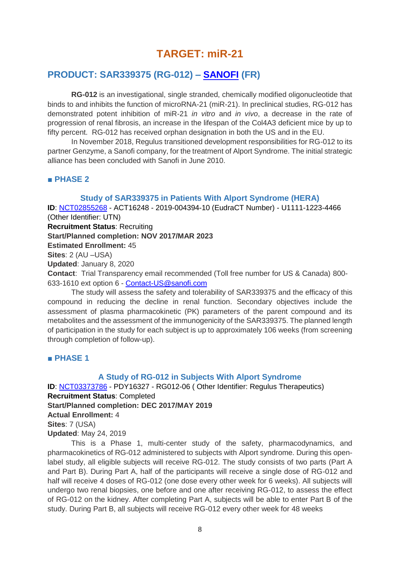# **TARGET: miR-21**

## **PRODUCT: SAR339375 (RG-012) – [SANOFI](https://www.sanofi.com/) (FR)**

**RG-012** is an investigational, single stranded, chemically modified oligonucleotide that binds to and inhibits the function of microRNA-21 (miR-21). In preclinical studies, RG-012 has demonstrated potent inhibition of miR-21 *in vitro* and *in vivo*, a decrease in the rate of progression of renal fibrosis, an increase in the lifespan of the Col4A3 deficient mice by up to fifty percent. RG-012 has received orphan designation in both the US and in the EU.

In November 2018, Regulus transitioned development responsibilities for RG-012 to its partner Genzyme, a Sanofi company, for the treatment of Alport Syndrome. The initial strategic alliance has been concluded with Sanofi in June 2010.

## **■ PHASE 2**

## **Study of SAR339375 in Patients With Alport Syndrome (HERA)**

**ID**: [NCT02855268](https://clinicaltrials.gov/ct2/show/NCT02855268) - ACT16248 - 2019-004394-10 (EudraCT Number) - U1111-1223-4466 (Other Identifier: UTN) **Recruitment Status**: Recruiting

**Start/Planned completion: NOV 2017/MAR 2023**

**Estimated Enrollment:** 45

**Sites**: 2 (AU –USA)

**Updated**: January 8, 2020

**Contact**: Trial Transparency email recommended (Toll free number for US & Canada) 800- 633-1610 ext option 6 - [Contact-US@sanofi.com](mailto:Contact-US@sanofi.com)

The study will assess the safety and tolerability of SAR339375 and the efficacy of this compound in reducing the decline in renal function. Secondary objectives include the assessment of plasma pharmacokinetic (PK) parameters of the parent compound and its metabolites and the assessment of the immunogenicity of the SAR339375. The planned length of participation in the study for each subject is up to approximately 106 weeks (from screening through completion of follow-up).

## **■ PHASE 1**

## **A Study of RG-012 in Subjects With Alport Syndrome**

**ID**: [NCT03373786](https://clinicaltrials.gov/ct2/show/NCT03373786) - PDY16327 - RG012-06 ( Other Identifier: Regulus Therapeutics) **Recruitment Status**: Completed **Start/Planned completion: DEC 2017/MAY 2019 Actual Enrollment:** 4 **Sites**: 7 (USA)

**Updated**: May 24, 2019

This is a Phase 1, multi-center study of the safety, pharmacodynamics, and pharmacokinetics of RG-012 administered to subjects with Alport syndrome. During this openlabel study, all eligible subjects will receive RG-012. The study consists of two parts (Part A and Part B). During Part A, half of the participants will receive a single dose of RG-012 and half will receive 4 doses of RG-012 (one dose every other week for 6 weeks). All subjects will undergo two renal biopsies, one before and one after receiving RG-012, to assess the effect of RG-012 on the kidney. After completing Part A, subjects will be able to enter Part B of the study. During Part B, all subjects will receive RG-012 every other week for 48 weeks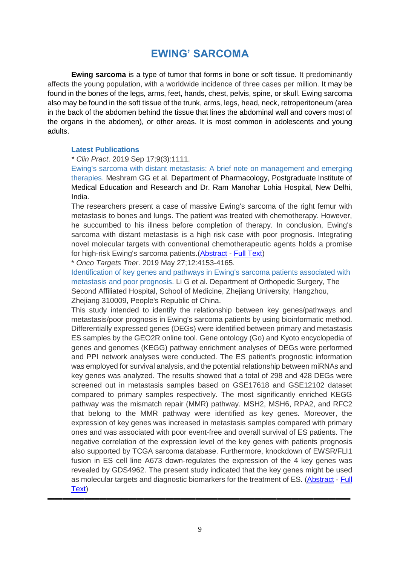# **EWING' SARCOMA**

**Ewing sarcoma** is a type of tumor that forms in bone or soft tissue. It predominantly affects the young population, with a worldwide incidence of three cases per million. It may be found in the bones of the legs, arms, feet, hands, chest, pelvis, spine, or skull. Ewing sarcoma also may be found in the soft tissue of the trunk, arms, legs, head, neck, retroperitoneum (area in the back of the abdomen behind the tissue that lines the abdominal wall and covers most of the organs in the abdomen), or other areas. It is most common in adolescents and young adults.

#### **Latest Publications**

*\* Clin Pract*. 2019 Sep 17;9(3):1111.

Ewing's sarcoma with distant metastasis: A brief note on management and emerging therapies. Meshram GG et al. Department of Pharmacology, Postgraduate Institute of Medical Education and Research and Dr. Ram Manohar Lohia Hospital, New Delhi, India.

The researchers present a case of massive Ewing's sarcoma of the right femur with metastasis to bones and lungs. The patient was treated with chemotherapy. However, he succumbed to his illness before completion of therapy. In conclusion, Ewing's sarcoma with distant metastasis is a high risk case with poor prognosis. Integrating novel molecular targets with conventional chemotherapeutic agents holds a promise for high-risk Ewing's sarcoma patients.[\(Abstract](https://www.ncbi.nlm.nih.gov/pubmed/31579490) - [Full Text\)](https://www.ncbi.nlm.nih.gov/pmc/articles/PMC6766686/)

\* *Onco Targets Ther*. 2019 May 27;12:4153-4165.

Identification of key genes and pathways in Ewing's sarcoma patients associated with metastasis and poor prognosis. Li G et al. Department of Orthopedic Surgery, The Second Affiliated Hospital, School of Medicine, Zhejiang University, Hangzhou, Zheijang 310009, People's Republic of China.

This study intended to identify the relationship between key genes/pathways and metastasis/poor prognosis in Ewing's sarcoma patients by using bioinformatic method. Differentially expressed genes (DEGs) were identified between primary and metastasis ES samples by the GEO2R online tool. Gene ontology (Go) and Kyoto encyclopedia of genes and genomes (KEGG) pathway enrichment analyses of DEGs were performed and PPI network analyses were conducted. The ES patient's prognostic information was employed for survival analysis, and the potential relationship between miRNAs and key genes was analyzed. The results showed that a total of 298 and 428 DEGs were screened out in metastasis samples based on GSE17618 and GSE12102 dataset compared to primary samples respectively. The most significantly enriched KEGG pathway was the mismatch repair (MMR) pathway. MSH2, MSH6, RPA2, and RFC2 that belong to the MMR pathway were identified as key genes. Moreover, the expression of key genes was increased in metastasis samples compared with primary ones and was associated with poor event-free and overall survival of ES patients. The negative correlation of the expression level of the key genes with patients prognosis also supported by TCGA sarcoma database. Furthermore, knockdown of EWSR/FLI1 fusion in ES cell line A673 down-regulates the expression of the 4 key genes was revealed by GDS4962. The present study indicated that the key genes might be used as molecular targets and diagnostic biomarkers for the treatment of ES. [\(Abstract](https://www.ncbi.nlm.nih.gov/pubmed/31213834) - [Full](https://www.ncbi.nlm.nih.gov/pmc/articles/PMC6549663/)  [Text\)](https://www.ncbi.nlm.nih.gov/pmc/articles/PMC6549663/)

▬▬▬▬▬▬▬▬▬▬▬▬▬▬▬▬▬▬▬▬▬▬▬▬▬▬▬▬▬▬▬▬▬▬▬▬▬▬▬▬▬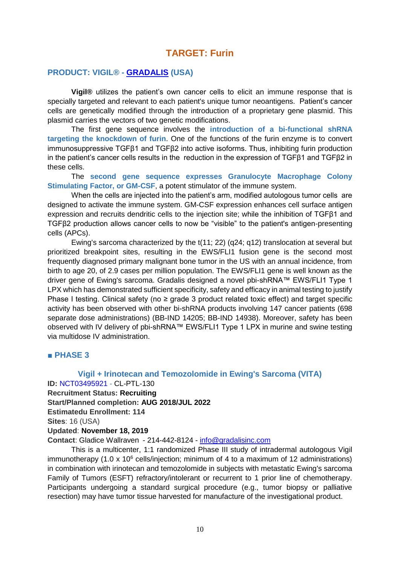## **TARGET: Furin**

## **PRODUCT: VIGIL® - [GRADALIS](https://www.gradalisinc.com/) (USA)**

**Vigil®** utilizes the patient's own cancer cells to elicit an immune response that is specially targeted and relevant to each patient's unique tumor neoantigens. Patient's cancer cells are genetically modified through the introduction of a proprietary gene plasmid. This plasmid carries the vectors of two genetic modifications.

The first gene sequence involves the **introduction of a bi-functional shRNA targeting the knockdown of furin**. One of the functions of the furin enzyme is to convert immunosuppressive TGFβ1 and TGFβ2 into active isoforms. Thus, inhibiting furin production in the patient's cancer cells results in the reduction in the expression of TGFβ1 and TGFβ2 in these cells.

The **second gene sequence expresses Granulocyte Macrophage Colony Stimulating Factor, or GM-CSF**, a potent stimulator of the immune system.

When the cells are injected into the patient's arm, modified autologous tumor cells are designed to activate the immune system. GM-CSF expression enhances cell surface antigen expression and recruits dendritic cells to the injection site; while the inhibition of TGFβ1 and TGFβ2 production allows cancer cells to now be "visible" to the patient's antigen-presenting cells (APCs).

Ewing's sarcoma characterized by the t(11; 22) (q24; q12) translocation at several but prioritized breakpoint sites, resulting in the EWS/FLI1 fusion gene is the second most frequently diagnosed primary malignant bone tumor in the US with an annual incidence, from birth to age 20, of 2.9 cases per million population. The EWS/FLI1 gene is well known as the driver gene of Ewing's sarcoma. Gradalis designed a novel pbi-shRNA™ EWS/FLI1 Type 1 LPX which has demonstrated sufficient specificity, safety and efficacy in animal testing to justify Phase I testing. Clinical safety (no ≥ grade 3 product related toxic effect) and target specific activity has been observed with other bi-shRNA products involving 147 cancer patients (698 separate dose administrations) (BB-IND 14205; BB-IND 14938). Moreover, safety has been observed with IV delivery of pbi-shRNA™ EWS/FLI1 Type 1 LPX in murine and swine testing via multidose IV administration.

## **■ PHASE 3**

## **Vigil + Irinotecan and Temozolomide in Ewing's Sarcoma (VITA) ID:** [NCT03495921](https://clinicaltrials.gov/ct2/show/NCT03495921) - CL-PTL-130

**Recruitment Status: Recruiting**

**Start/Planned completion: AUG 2018/JUL 2022**

**Estimatedu Enrollment: 114**

**Sites**: 16 (USA)

#### **Updated**: **November 18, 2019**

**Contact**: Gladice Wallraven - 214-442-8124 - [info@gradalisinc.com](mailto:info@gradalisinc.com)

This is a multicenter, 1:1 randomized Phase III study of intradermal autologous Vigil immunotherapy (1.0 x 10 $<sup>6</sup>$  cells/injection; minimum of 4 to a maximum of 12 administrations)</sup> in combination with irinotecan and temozolomide in subjects with metastatic Ewing's sarcoma Family of Tumors (ESFT) refractory/intolerant or recurrent to 1 prior line of chemotherapy. Participants undergoing a standard surgical procedure (e.g., tumor biopsy or palliative resection) may have tumor tissue harvested for manufacture of the investigational product.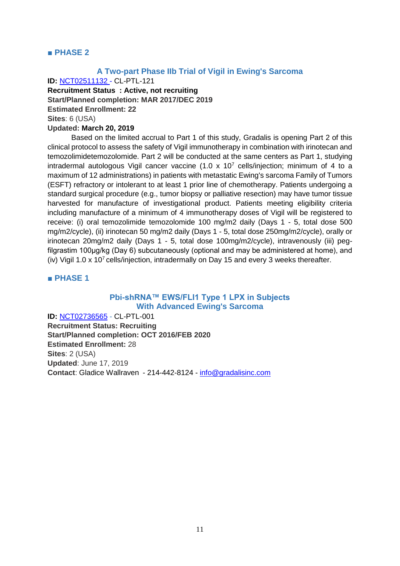#### **■ PHASE 2**

### **A Two-part Phase IIb Trial of Vigil in Ewing's Sarcoma**

**ID:** [NCT02511132](https://clinicaltrials.gov/ct2/show/NCT02511132) - CL-PTL-121

**Recruitment Status : Active, not recruiting Start/Planned completion: MAR 2017/DEC 2019 Estimated Enrollment: 22**

**Sites**: 6 (USA)

#### **Updated: March 20, 2019**

Based on the limited accrual to Part 1 of this study, Gradalis is opening Part 2 of this clinical protocol to assess the safety of Vigil immunotherapy in combination with irinotecan and temozolimidetemozolomide. Part 2 will be conducted at the same centers as Part 1, studying intradermal autologous Vigil cancer vaccine (1.0 x  $10^7$  cells/injection; minimum of 4 to a maximum of 12 administrations) in patients with metastatic Ewing's sarcoma Family of Tumors (ESFT) refractory or intolerant to at least 1 prior line of chemotherapy. Patients undergoing a standard surgical procedure (e.g., tumor biopsy or palliative resection) may have tumor tissue harvested for manufacture of investigational product. Patients meeting eligibility criteria including manufacture of a minimum of 4 immunotherapy doses of Vigil will be registered to receive: (i) oral temozolimide temozolomide 100 mg/m2 daily (Days 1 - 5, total dose 500 mg/m2/cycle), (ii) irinotecan 50 mg/m2 daily (Days 1 - 5, total dose 250mg/m2/cycle), orally or irinotecan 20mg/m2 daily (Days 1 - 5, total dose 100mg/m2/cycle), intravenously (iii) pegfilgrastim 100μg/kg (Day 6) subcutaneously (optional and may be administered at home), and (iv) Vigil 1.0 x 10<sup>7</sup> cells/injection, intradermally on Day 15 and every 3 weeks thereafter.

#### **■ PHASE 1**

## **Pbi-shRNA™ EWS/FLI1 Type 1 LPX in Subjects With Advanced Ewing's Sarcoma**

**ID:** [NCT02736565](https://clinicaltrials.gov/ct2/show/NCT02736565) - CL-PTL-001 **Recruitment Status: Recruiting Start/Planned completion: OCT 2016/FEB 2020 Estimated Enrollment:** 28 **Sites**: 2 (USA) **Updated**: June 17, 2019 **Contact**: Gladice Wallraven - 214-442-8124 - [info@gradalisinc.com](mailto:info@gradalisinc.com)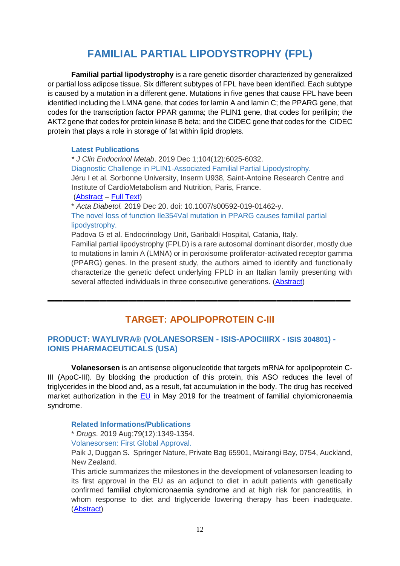# **FAMILIAL PARTIAL LIPODYSTROPHY (FPL)**

**Familial partial lipodystrophy** is a rare genetic disorder characterized by generalized or partial loss adipose tissue. Six different subtypes of FPL have been identified. Each subtype is caused by a mutation in a different gene. Mutations in five genes that cause FPL have been identified including the LMNA gene, that codes for lamin A and lamin C; the PPARG gene, that codes for the transcription factor PPAR gamma; the PLIN1 gene, that codes for perilipin; the AKT2 gene that codes for protein kinase B beta; and the CIDEC gene that codes for the CIDEC protein that plays a role in storage of fat within lipid droplets.

#### **Latest Publications**

*\* J Clin Endocrinol Metab*. 2019 Dec 1;104(12):6025-6032. Diagnostic Challenge in PLIN1-Associated Familial Partial Lipodystrophy. Jéru I et al. Sorbonne University, Inserm U938, Saint-Antoine Research Centre and Institute of CardioMetabolism and Nutrition, Paris, France. [\(Abstract](https://www.ncbi.nlm.nih.gov/pubmed/31504636) – [Full Text\)](https://www.ncbi.nlm.nih.gov/pmc/articles/PMC6916795/)

\* *Acta Diabetol.* 2019 Dec 20. doi: 10.1007/s00592-019-01462-y. The novel loss of function Ile354Val mutation in PPARG causes familial partial lipodystrophy.

Padova G et al. Endocrinology Unit, Garibaldi Hospital, Catania, Italy.

Familial partial lipodystrophy (FPLD) is a rare autosomal dominant disorder, mostly due to mutations in lamin A (LMNA) or in peroxisome proliferator-activated receptor gamma (PPARG) genes. In the present study, the authors aimed to identify and functionally characterize the genetic defect underlying FPLD in an Italian family presenting with several affected individuals in three consecutive generations. [\(Abstract\)](https://www.ncbi.nlm.nih.gov/pubmed/31863320)

## **TARGET: APOLIPOPROTEIN C-III**

▬▬▬▬▬▬▬▬▬▬▬▬▬▬▬▬▬▬▬▬▬▬▬▬▬▬▬▬▬▬▬▬▬▬▬**▬**▬▬▬▬▬

## **PRODUCT: WAYLIVRA® (VOLANESORSEN - ISIS-APOCIIIRX - ISIS 304801) - IONIS PHARMACEUTICALS (USA)**

**Volanesorsen** is an antisense oligonucleotide that targets mRNA for apolipoprotein C-III (ApoC-III). By blocking the production of this protein, this ASO reduces the level of triglycerides in the blood and, as a result, fat accumulation in the body. The drug has received market authorization in the [EU](https://www.ema.europa.eu/en/medicines/human/EPAR/waylivra) in May 2019 for the treatment of familial chylomicronaemia syndrome.

#### **Related Informations/Publications**

\* *Drugs*. 2019 Aug;79(12):1349-1354.

#### Volanesorsen: First Global Approval.

Paik J, Duggan S. Springer Nature, Private Bag 65901, Mairangi Bay, 0754, Auckland, New Zealand.

This article summarizes the milestones in the development of volanesorsen leading to its first approval in the EU as an adjunct to diet in adult patients with genetically confirmed familial chylomicronaemia syndrome and at high risk for pancreatitis, in whom response to diet and triglyceride lowering therapy has been inadequate. [\(Abstract\)](https://www.ncbi.nlm.nih.gov/pubmed/31301033)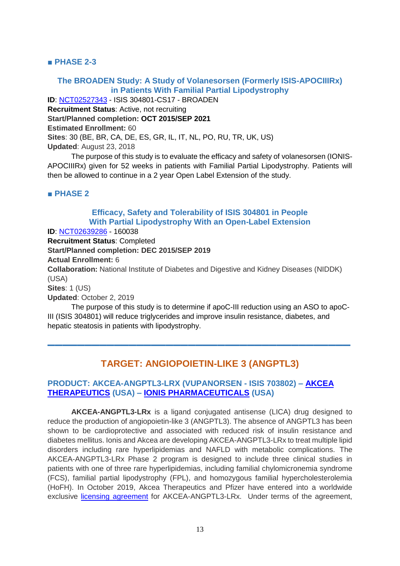## **■ PHASE 2-3**

## **The BROADEN Study: A Study of Volanesorsen (Formerly ISIS-APOCIIIRx) in Patients With Familial Partial Lipodystrophy**

**ID**: [NCT02527343](https://clinicaltrials.gov/ct2/show/NCT02527343) - ISIS 304801-CS17 - BROADEN **Recruitment Status**: Active, not recruiting **Start/Planned completion: OCT 2015/SEP 2021 Estimated Enrollment:** 60 **Sites**: 30 (BE, BR, CA, DE, ES, GR, IL, IT, NL, PO, RU, TR, UK, US) **Updated**: August 23, 2018

The purpose of this study is to evaluate the efficacy and safety of volanesorsen (IONIS-APOCIIIRx) given for 52 weeks in patients with Familial Partial Lipodystrophy. Patients will then be allowed to continue in a 2 year Open Label Extension of the study.

## **■ PHASE 2**

## **Efficacy, Safety and Tolerability of ISIS 304801 in People With Partial Lipodystrophy With an Open-Label Extension**

**ID**: [NCT02639286](https://clinicaltrials.gov/ct2/show/NCT02639286) - 160038

**Recruitment Status**: Completed

**Start/Planned completion: DEC 2015/SEP 2019**

**Actual Enrollment:** 6

**Collaboration:** National Institute of Diabetes and Digestive and Kidney Diseases (NIDDK) (USA)

**Sites**: 1 (US)

**Updated**: October 2, 2019

The purpose of this study is to determine if apoC-III reduction using an ASO to apoC-III (ISIS 304801) will reduce triglycerides and improve insulin resistance, diabetes, and hepatic steatosis in patients with lipodystrophy.

## **TARGET: ANGIOPOIETIN-LIKE 3 (ANGPTL3)**

▬▬▬▬▬▬▬▬▬▬▬▬▬▬▬▬▬▬▬▬▬▬▬▬▬▬▬▬▬▬▬▬▬▬▬▬▬▬▬▬▬

## **PRODUCT: AKCEA-ANGPTL3-LRX (VUPANORSEN - ISIS 703802) – [AKCEA](https://akceatx.com/)  [THERAPEUTICS](https://akceatx.com/) (USA) – [IONIS PHARMACEUTICALS](https://www.ionispharma.com/) (USA)**

**AKCEA-ANGPTL3-LRx** is a ligand conjugated antisense (LICA) drug designed to reduce the production of angiopoietin-like 3 (ANGPTL3). The absence of ANGPTL3 has been shown to be cardioprotective and associated with reduced risk of insulin resistance and diabetes mellitus. Ionis and Akcea are developing AKCEA-ANGPTL3-LRx to treat multiple lipid disorders including rare hyperlipidemias and NAFLD with metabolic complications. The AKCEA-ANGPTL3-LRx Phase 2 program is designed to include three clinical studies in patients with one of three rare hyperlipidemias, including familial chylomicronemia syndrome (FCS), familial partial lipodystrophy (FPL), and homozygous familial hypercholesterolemia (HoFH). In October 2019, Akcea Therapeutics and Pfizer have entered into a worldwide exclusive [licensing agreement](https://www.pfizer.com/news/press-release/press-release-detail/akcea_and_pfizer_inc_announce_licensing_agreement_for_investigative_antisense_therapy_akcea_angptl3_lrx) for AKCEA-ANGPTL3-LRx. Under terms of the agreement,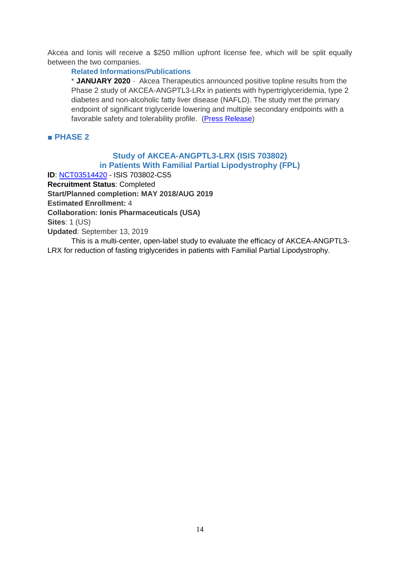Akcea and Ionis will receive a \$250 million upfront license fee, which will be split equally between the two companies.

## **Related Informations/Publications**

\* **JANUARY 2020** - Akcea Therapeutics announced positive topline results from the Phase 2 study of AKCEA-ANGPTL3-LRx in patients with hypertriglyceridemia, type 2 diabetes and non-alcoholic fatty liver disease (NAFLD). The study met the primary endpoint of significant triglyceride lowering and multiple secondary endpoints with a favorable safety and tolerability profile. [\(Press Release\)](https://ir.akceatx.com/news-releases/news-release-details/akcea-and-ionis-report-positive-topline-phase-2-study-results)

## **■ PHASE 2**

## **Study of AKCEA-ANGPTL3-LRX (ISIS 703802) in Patients With Familial Partial Lipodystrophy (FPL)**

**ID**: [NCT03514420](https://clinicaltrials.gov/ct2/show/NCT03514420) - ISIS 703802-CS5 **Recruitment Status**: Completed **Start/Planned completion: MAY 2018/AUG 2019 Estimated Enrollment:** 4 **Collaboration: Ionis Pharmaceuticals (USA) Sites**: 1 (US) **Updated**: September 13, 2019 This is a multi-center, open-label study to evaluate the efficacy of AKCEA-ANGPTL3-

LRX for reduction of fasting triglycerides in patients with Familial Partial Lipodystrophy.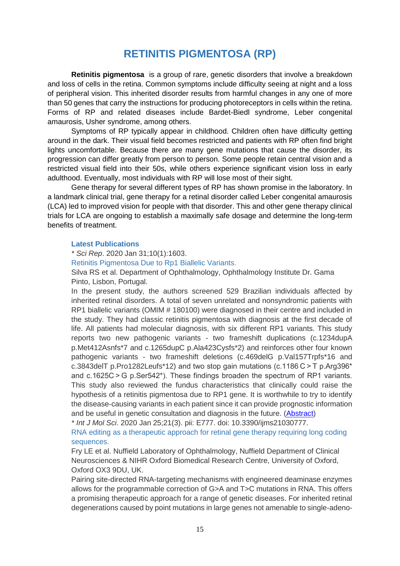# **RETINITIS PIGMENTOSA (RP)**

**Retinitis pigmentosa** is a group of rare, genetic disorders that involve a breakdown and loss of cells in the retina. Common symptoms include difficulty seeing at night and a loss of peripheral vision. This inherited disorder results from harmful changes in any one of more than 50 genes that carry the instructions for producing photoreceptors in cells within the retina. Forms of RP and related diseases include Bardet-Biedl syndrome, Leber congenital amaurosis, Usher syndrome, among others.

Symptoms of RP typically appear in childhood. Children often have difficulty getting around in the dark. Their visual field becomes restricted and patients with RP often find bright lights uncomfortable. Because there are many gene mutations that cause the disorder, its progression can differ greatly from person to person. Some people retain central vision and a restricted visual field into their 50s, while others experience significant vision loss in early adulthood. Eventually, most individuals with RP will lose most of their sight.

Gene therapy for several different types of RP has shown promise in the laboratory. In a landmark clinical trial, gene therapy for a retinal disorder called Leber congenital amaurosis (LCA) led to improved vision for people with that disorder. This and other gene therapy clinical trials for LCA are ongoing to establish a maximally safe dosage and determine the long-term benefits of treatment.

#### **Latest Publications**

*\* Sci Rep*. 2020 Jan 31;10(1):1603.

Retinitis Pigmentosa Due to Rp1 Biallelic Variants.

Silva RS et al. Department of Ophthalmology, Ophthalmology Institute Dr. Gama Pinto, Lisbon, Portugal.

In the present study, the authors screened 529 Brazilian individuals affected by inherited retinal disorders. A total of seven unrelated and nonsyndromic patients with RP1 biallelic variants (OMIM # 180100) were diagnosed in their centre and included in the study. They had classic retinitis pigmentosa with diagnosis at the first decade of life. All patients had molecular diagnosis, with six different RP1 variants. This study reports two new pathogenic variants - two frameshift duplications (c.1234dupA p.Met412Asnfs\*7 and c.1265dupC p.Ala423Cysfs\*2) and reinforces other four known pathogenic variants - two frameshift deletions (c.469delG p.Val157Trpfs\*16 and c.3843delT p.Pro1282Leufs\*12) and two stop gain mutations (c.1186 C > T p.Arg396\* and c.1625C > G p.Ser542\*). These findings broaden the spectrum of RP1 variants. This study also reviewed the fundus characteristics that clinically could raise the hypothesis of a retinitis pigmentosa due to RP1 gene. It is worthwhile to try to identify the disease-causing variants in each patient since it can provide prognostic information and be useful in genetic consultation and diagnosis in the future. [\(Abstract\)](https://www.ncbi.nlm.nih.gov/pubmed/32005865)

*\* Int J Mol Sci*. 2020 Jan 25;21(3). pii: E777. doi: 10.3390/ijms21030777.

RNA editing as a therapeutic approach for retinal gene therapy requiring long coding sequences.

Fry LE et al. Nuffield Laboratory of Ophthalmology, Nuffield Department of Clinical Neurosciences & NIHR Oxford Biomedical Research Centre, University of Oxford, Oxford OX3 9DU, UK.

Pairing site-directed RNA-targeting mechanisms with engineered deaminase enzymes allows for the programmable correction of G>A and T>C mutations in RNA. This offers a promising therapeutic approach for a range of genetic diseases. For inherited retinal degenerations caused by point mutations in large genes not amenable to single-adeno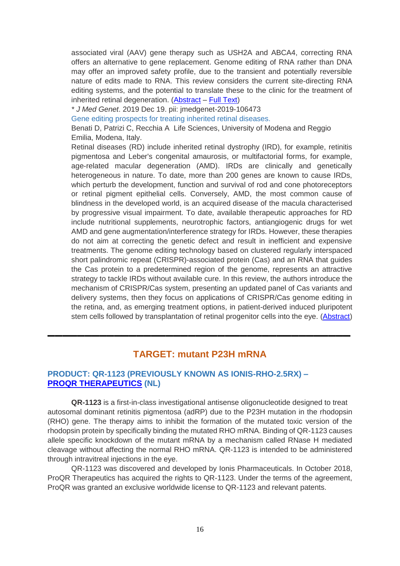associated viral (AAV) gene therapy such as USH2A and ABCA4, correcting RNA offers an alternative to gene replacement. Genome editing of RNA rather than DNA may offer an improved safety profile, due to the transient and potentially reversible nature of edits made to RNA. This review considers the current site-directing RNA editing systems, and the potential to translate these to the clinic for the treatment of inherited retinal degeneration. [\(Abstract](https://www.ncbi.nlm.nih.gov/pubmed/31991730) – [Full Text\)](https://www.mdpi.com/1422-0067/21/3/777/htm)

*\* J Med Genet*. 2019 Dec 19. pii: jmedgenet-2019-106473

Gene editing prospects for treating inherited retinal diseases.

Benati D, Patrizi C, Recchia A Life Sciences, University of Modena and Reggio Emilia, Modena, Italy.

Retinal diseases (RD) include inherited retinal dystrophy (IRD), for example, retinitis pigmentosa and Leber's congenital amaurosis, or multifactorial forms, for example, age-related macular degeneration (AMD). IRDs are clinically and genetically heterogeneous in nature. To date, more than 200 genes are known to cause IRDs, which perturb the development, function and survival of rod and cone photoreceptors or retinal pigment epithelial cells. Conversely, AMD, the most common cause of blindness in the developed world, is an acquired disease of the macula characterised by progressive visual impairment. To date, available therapeutic approaches for RD include nutritional supplements, neurotrophic factors, antiangiogenic drugs for wet AMD and gene augmentation/interference strategy for IRDs. However, these therapies do not aim at correcting the genetic defect and result in inefficient and expensive treatments. The genome editing technology based on clustered regularly interspaced short palindromic repeat (CRISPR)-associated protein (Cas) and an RNA that guides the Cas protein to a predetermined region of the genome, represents an attractive strategy to tackle IRDs without available cure. In this review, the authors introduce the mechanism of CRISPR/Cas system, presenting an updated panel of Cas variants and delivery systems, then they focus on applications of CRISPR/Cas genome editing in the retina, and, as emerging treatment options, in patient-derived induced pluripotent stem cells followed by transplantation of retinal progenitor cells into the eye. [\(Abstract\)](https://www.ncbi.nlm.nih.gov/pubmed/31857428)

## **TARGET: mutant P23H mRNA**

▬▬▬▬▬▬▬▬▬▬▬▬▬▬▬▬▬▬▬▬▬▬▬▬▬▬▬▬▬▬▬▬▬▬▬▬▬▬▬▬▬

## **PRODUCT: QR-1123 (PREVIOUSLY KNOWN AS IONIS-RHO-2.5RX) – [PROQR THERAPEUTICS](https://www.proqr.com/) (NL)**

**QR-1123** is a first-in-class investigational antisense oligonucleotide designed to treat autosomal dominant retinitis pigmentosa (adRP) due to the P23H mutation in the rhodopsin (RHO) gene. The therapy aims to inhibit the formation of the mutated toxic version of the rhodopsin protein by specifically binding the mutated RHO mRNA. Binding of QR-1123 causes allele specific knockdown of the mutant mRNA by a mechanism called RNase H mediated cleavage without affecting the normal RHO mRNA. QR-1123 is intended to be administered through intravitreal injections in the eye.

QR-1123 was discovered and developed by Ionis Pharmaceuticals. In October 2018, ProQR Therapeutics has acquired the rights to QR-1123. Under the terms of the agreement, ProQR was granted an exclusive worldwide license to QR-1123 and relevant patents.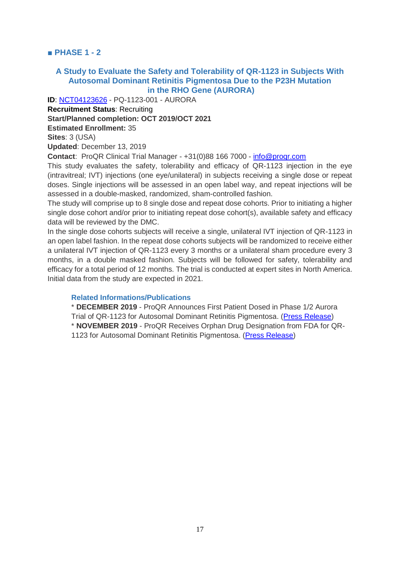**■ PHASE 1 - 2**

## **A Study to Evaluate the Safety and Tolerability of QR-1123 in Subjects With Autosomal Dominant Retinitis Pigmentosa Due to the P23H Mutation in the RHO Gene (AURORA)**

**ID**: [NCT04123626](https://clinicaltrials.gov/ct2/show/NCT04123626) - PQ-1123-001 - AURORA

**Recruitment Status**: Recruiting **Start/Planned completion: OCT 2019/OCT 2021 Estimated Enrollment:** 35 **Sites**: 3 (USA) **Updated**: December 13, 2019

**Contact**: ProQR Clinical Trial Manager - +31(0)88 166 7000 - [info@proqr.com](mailto:info@proqr.com)

This study evaluates the safety, tolerability and efficacy of QR-1123 injection in the eye (intravitreal; IVT) injections (one eye/unilateral) in subjects receiving a single dose or repeat doses. Single injections will be assessed in an open label way, and repeat injections will be assessed in a double-masked, randomized, sham-controlled fashion.

The study will comprise up to 8 single dose and repeat dose cohorts. Prior to initiating a higher single dose cohort and/or prior to initiating repeat dose cohort(s), available safety and efficacy data will be reviewed by the DMC.

In the single dose cohorts subjects will receive a single, unilateral IVT injection of QR-1123 in an open label fashion. In the repeat dose cohorts subjects will be randomized to receive either a unilateral IVT injection of QR-1123 every 3 months or a unilateral sham procedure every 3 months, in a double masked fashion. Subjects will be followed for safety, tolerability and efficacy for a total period of 12 months. The trial is conducted at expert sites in North America. Initial data from the study are expected in 2021.

#### **Related Informations/Publications**

\* **DECEMBER 2019** - ProQR Announces First Patient Dosed in Phase 1/2 Aurora Trial of QR-1123 for Autosomal Dominant Retinitis Pigmentosa. [\(Press Release\)](https://ir.proqr.com/news-releases/news-release-details/proqr-announces-first-patient-dosed-phase-12-aurora-trial-qr) \* **NOVEMBER 2019** - ProQR Receives Orphan Drug Designation from FDA for QR-1123 for Autosomal Dominant Retinitis Pigmentosa. [\(Press Release\)](https://ir.proqr.com/news-releases/news-release-details/proqr-receives-orphan-drug-designation-fda-qr-1123-autosomal)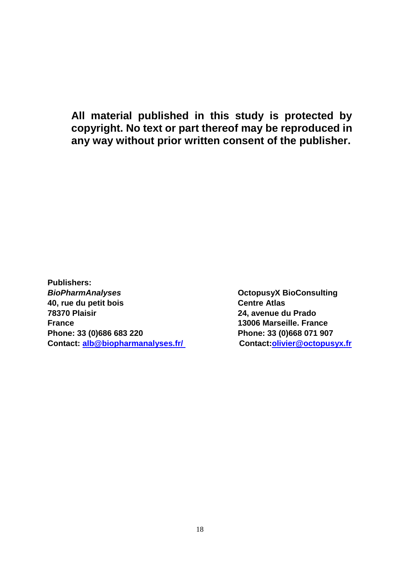**All material published in this study is protected by copyright. No text or part thereof may be reproduced in any way without prior written consent of the publisher.**

**Publishers: BioPharmAnalyses Discussed BioPharmAnalyses OctopusyX BioConsulting 40, rue du petit bois Centre Atlas 78370 Plaisir 24, avenue du Prado France 13006 Marseille. France Phone: 33 (0)686 683 220 Phone: 33 (0)668 071 907 Contact: [alb@biopharmanalyses.fr/](mailto:alb@biopharmanalyses.fr/) Contact[:olivier@octopusyx.fr](mailto:olivier@octopusyx.fr)**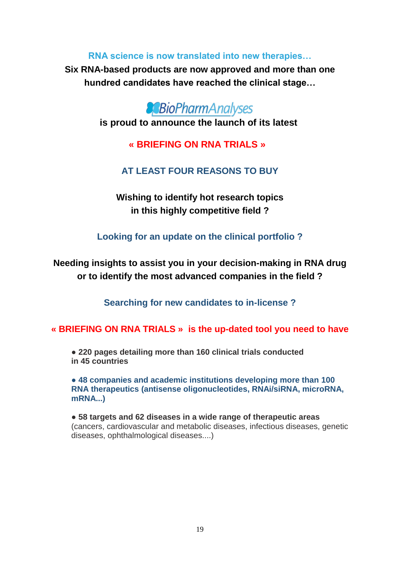**RNA science is now translated into new therapies…**

**Six RNA-based products are now approved and more than one hundred candidates have reached the clinical stage…**



**is proud to announce the launch of its latest**

**« BRIEFING ON RNA TRIALS »** 

# **AT LEAST FOUR REASONS TO BUY**

**Wishing to identify hot research topics in this highly competitive field ?**

**Looking for an update on the clinical portfolio ?**

**Needing insights to assist you in your decision-making in RNA drug or to identify the most advanced companies in the field ?**

**Searching for new candidates to in-license ?**

**« BRIEFING ON RNA TRIALS » is the up-dated tool you need to have**

● **220 pages detailing more than 160 clinical trials conducted in 45 countries**

**● 48 companies and academic institutions developing more than 100 RNA therapeutics (antisense oligonucleotides, RNAi/siRNA, microRNA, mRNA...)**

● **58 targets and 62 diseases in a wide range of therapeutic areas** (cancers, cardiovascular and metabolic diseases, infectious diseases, genetic diseases, ophthalmological diseases....)